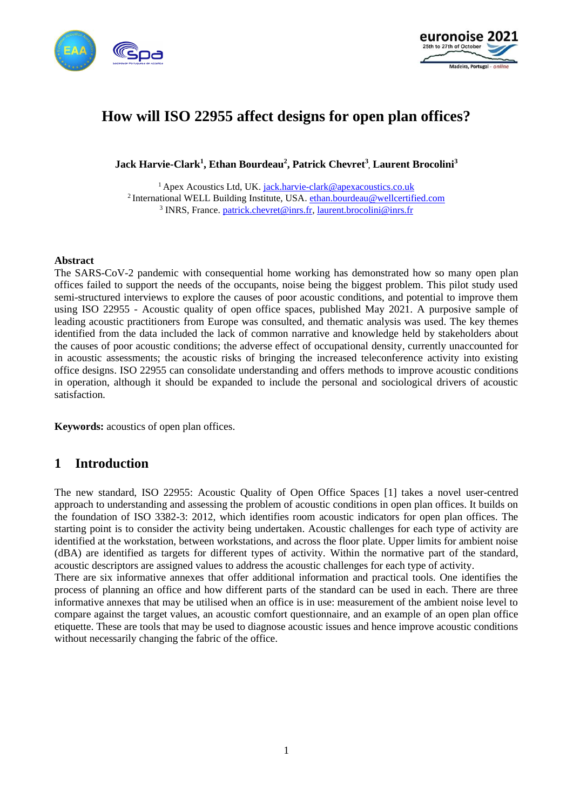



# **How will ISO 22955 affect designs for open plan offices?**

**Jack Harvie-Clark<sup>1</sup> , Ethan Bourdeau<sup>2</sup> , Patrick Chevret<sup>3</sup> , Laurent Brocolini<sup>3</sup>**

<sup>1</sup> Apex Acoustics Ltd, UK. [jack.harvie-clark@apexacoustics.co.uk](mailto:jack.harvie-clark@apexacoustics.co.uk) <sup>2</sup> International WELL Building Institute, USA. [ethan.bourdeau@wellcertified.com](mailto:ethan.bourdeau@wellcertified.com) <sup>3</sup> INRS, France[. patrick.chevret@inrs.fr,](mailto:patrick.chevret@inrs.fr) [laurent.brocolini@inrs.fr](mailto:laurent.brocolini@inrs.fr)

#### **Abstract**

The SARS-CoV-2 pandemic with consequential home working has demonstrated how so many open plan offices failed to support the needs of the occupants, noise being the biggest problem. This pilot study used semi-structured interviews to explore the causes of poor acoustic conditions, and potential to improve them using ISO 22955 - Acoustic quality of open office spaces, published May 2021. A purposive sample of leading acoustic practitioners from Europe was consulted, and thematic analysis was used. The key themes identified from the data included the lack of common narrative and knowledge held by stakeholders about the causes of poor acoustic conditions; the adverse effect of occupational density, currently unaccounted for in acoustic assessments; the acoustic risks of bringing the increased teleconference activity into existing office designs. ISO 22955 can consolidate understanding and offers methods to improve acoustic conditions in operation, although it should be expanded to include the personal and sociological drivers of acoustic satisfaction.

**Keywords:** acoustics of open plan offices.

### **1 Introduction**

The new standard, ISO 22955: Acoustic Quality of Open Office Spaces [1] takes a novel user-centred approach to understanding and assessing the problem of acoustic conditions in open plan offices. It builds on the foundation of ISO 3382-3: 2012, which identifies room acoustic indicators for open plan offices. The starting point is to consider the activity being undertaken. Acoustic challenges for each type of activity are identified at the workstation, between workstations, and across the floor plate. Upper limits for ambient noise (dBA) are identified as targets for different types of activity. Within the normative part of the standard, acoustic descriptors are assigned values to address the acoustic challenges for each type of activity.

There are six informative annexes that offer additional information and practical tools. One identifies the process of planning an office and how different parts of the standard can be used in each. There are three informative annexes that may be utilised when an office is in use: measurement of the ambient noise level to compare against the target values, an acoustic comfort questionnaire, and an example of an open plan office etiquette. These are tools that may be used to diagnose acoustic issues and hence improve acoustic conditions without necessarily changing the fabric of the office.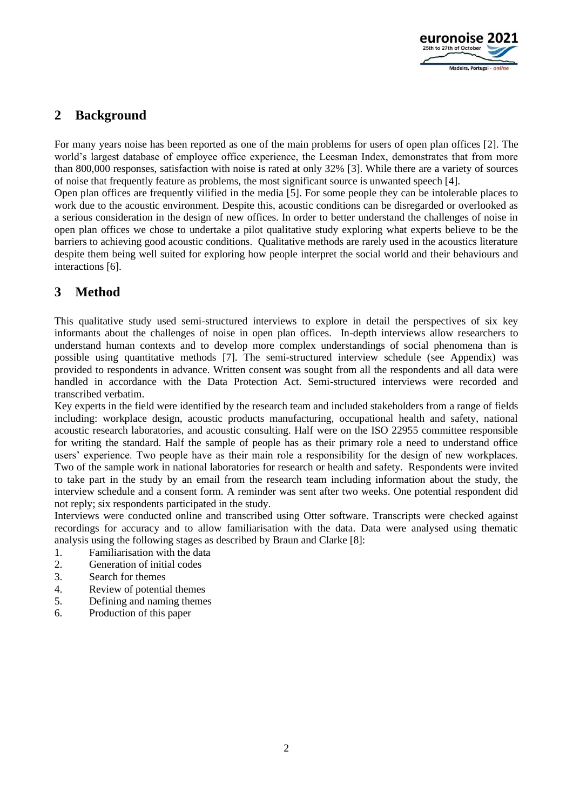

## **2 Background**

For many years noise has been reported as one of the main problems for users of open plan offices [2]. The world's largest database of employee office experience, the Leesman Index, demonstrates that from more than 800,000 responses, satisfaction with noise is rated at only 32% [3]. While there are a variety of sources of noise that frequently feature as problems, the most significant source is unwanted speech [4].

Open plan offices are frequently vilified in the media [5]. For some people they can be intolerable places to work due to the acoustic environment. Despite this, acoustic conditions can be disregarded or overlooked as a serious consideration in the design of new offices. In order to better understand the challenges of noise in open plan offices we chose to undertake a pilot qualitative study exploring what experts believe to be the barriers to achieving good acoustic conditions. Qualitative methods are rarely used in the acoustics literature despite them being well suited for exploring how people interpret the social world and their behaviours and interactions [6].

# **3 Method**

This qualitative study used semi-structured interviews to explore in detail the perspectives of six key informants about the challenges of noise in open plan offices. In-depth interviews allow researchers to understand human contexts and to develop more complex understandings of social phenomena than is possible using quantitative methods [7]. The semi-structured interview schedule (see Appendix) was provided to respondents in advance. Written consent was sought from all the respondents and all data were handled in accordance with the Data Protection Act. Semi-structured interviews were recorded and transcribed verbatim.

Key experts in the field were identified by the research team and included stakeholders from a range of fields including: workplace design, acoustic products manufacturing, occupational health and safety, national acoustic research laboratories, and acoustic consulting. Half were on the ISO 22955 committee responsible for writing the standard. Half the sample of people has as their primary role a need to understand office users' experience. Two people have as their main role a responsibility for the design of new workplaces. Two of the sample work in national laboratories for research or health and safety. Respondents were invited to take part in the study by an email from the research team including information about the study, the interview schedule and a consent form. A reminder was sent after two weeks. One potential respondent did not reply; six respondents participated in the study.

Interviews were conducted online and transcribed using Otter software. Transcripts were checked against recordings for accuracy and to allow familiarisation with the data. Data were analysed using thematic analysis using the following stages as described by Braun and Clarke [8]:

- 1. Familiarisation with the data
- 2. Generation of initial codes
- 3. Search for themes
- 4. Review of potential themes
- 5. Defining and naming themes
- 6. Production of this paper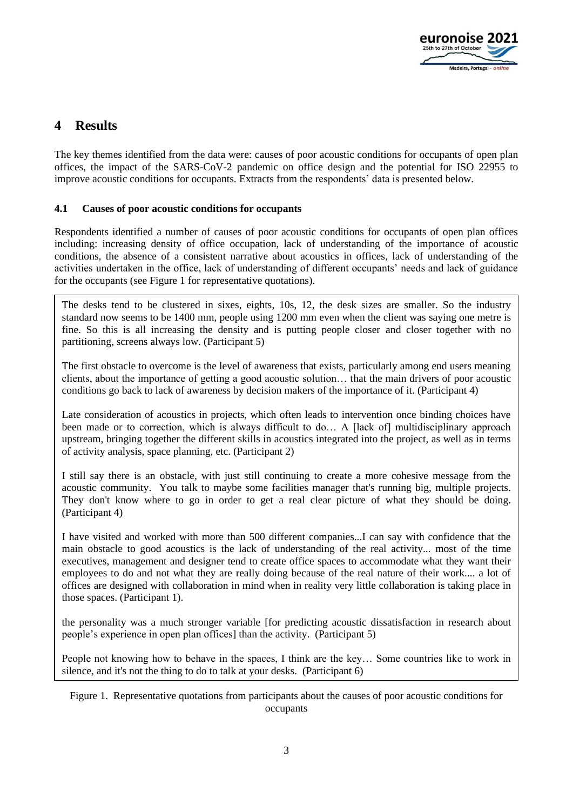

### **4 Results**

The key themes identified from the data were: causes of poor acoustic conditions for occupants of open plan offices, the impact of the SARS-CoV-2 pandemic on office design and the potential for ISO 22955 to improve acoustic conditions for occupants. Extracts from the respondents' data is presented below.

### **4.1 Causes of poor acoustic conditions for occupants**

Respondents identified a number of causes of poor acoustic conditions for occupants of open plan offices including: increasing density of office occupation, lack of understanding of the importance of acoustic conditions, the absence of a consistent narrative about acoustics in offices, lack of understanding of the activities undertaken in the office, lack of understanding of different occupants' needs and lack of guidance for the occupants (see Figure 1 for representative quotations).

The desks tend to be clustered in sixes, eights, 10s, 12, the desk sizes are smaller. So the industry standard now seems to be 1400 mm, people using 1200 mm even when the client was saying one metre is fine. So this is all increasing the density and is putting people closer and closer together with no partitioning, screens always low. (Participant 5)

The first obstacle to overcome is the level of awareness that exists, particularly among end users meaning clients, about the importance of getting a good acoustic solution… that the main drivers of poor acoustic conditions go back to lack of awareness by decision makers of the importance of it. (Participant 4)

Late consideration of acoustics in projects, which often leads to intervention once binding choices have been made or to correction, which is always difficult to do... A [lack of] multidisciplinary approach upstream, bringing together the different skills in acoustics integrated into the project, as well as in terms of activity analysis, space planning, etc. (Participant 2)

I still say there is an obstacle, with just still continuing to create a more cohesive message from the acoustic community. You talk to maybe some facilities manager that's running big, multiple projects. They don't know where to go in order to get a real clear picture of what they should be doing. (Participant 4)

I have visited and worked with more than 500 different companies...I can say with confidence that the main obstacle to good acoustics is the lack of understanding of the real activity... most of the time executives, management and designer tend to create office spaces to accommodate what they want their employees to do and not what they are really doing because of the real nature of their work.... a lot of offices are designed with collaboration in mind when in reality very little collaboration is taking place in those spaces. (Participant 1).

the personality was a much stronger variable [for predicting acoustic dissatisfaction in research about people's experience in open plan offices] than the activity. (Participant 5)

People not knowing how to behave in the spaces, I think are the key… Some countries like to work in silence, and it's not the thing to do to talk at your desks. (Participant 6)

Figure 1. Representative quotations from participants about the causes of poor acoustic conditions for occupants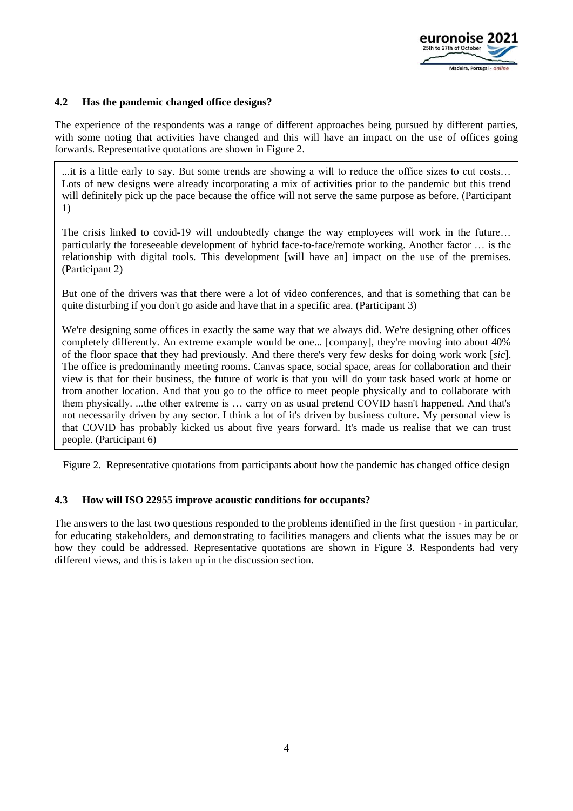

### **4.2 Has the pandemic changed office designs?**

The experience of the respondents was a range of different approaches being pursued by different parties, with some noting that activities have changed and this will have an impact on the use of offices going forwards. Representative quotations are shown in Figure 2.

...it is a little early to say. But some trends are showing a will to reduce the office sizes to cut costs… Lots of new designs were already incorporating a mix of activities prior to the pandemic but this trend will definitely pick up the pace because the office will not serve the same purpose as before. (Participant 1)

The crisis linked to covid-19 will undoubtedly change the way employees will work in the future… particularly the foreseeable development of hybrid face-to-face/remote working. Another factor … is the relationship with digital tools. This development [will have an] impact on the use of the premises. (Participant 2)

But one of the drivers was that there were a lot of video conferences, and that is something that can be quite disturbing if you don't go aside and have that in a specific area. (Participant 3)

We're designing some offices in exactly the same way that we always did. We're designing other offices completely differently. An extreme example would be one... [company], they're moving into about 40% of the floor space that they had previously. And there there's very few desks for doing work work [*sic*]. The office is predominantly meeting rooms. Canvas space, social space, areas for collaboration and their view is that for their business, the future of work is that you will do your task based work at home or from another location. And that you go to the office to meet people physically and to collaborate with them physically. ...the other extreme is … carry on as usual pretend COVID hasn't happened. And that's not necessarily driven by any sector. I think a lot of it's driven by business culture. My personal view is that COVID has probably kicked us about five years forward. It's made us realise that we can trust people. (Participant 6)

Figure 2. Representative quotations from participants about how the pandemic has changed office design

#### **4.3 How will ISO 22955 improve acoustic conditions for occupants?**

The answers to the last two questions responded to the problems identified in the first question - in particular, for educating stakeholders, and demonstrating to facilities managers and clients what the issues may be or how they could be addressed. Representative quotations are shown in Figure 3. Respondents had very different views, and this is taken up in the discussion section.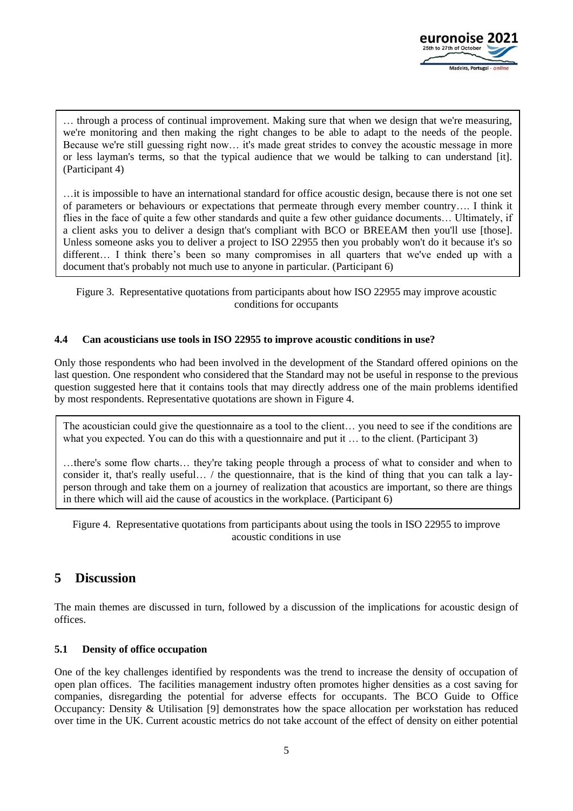

… through a process of continual improvement. Making sure that when we design that we're measuring, we're monitoring and then making the right changes to be able to adapt to the needs of the people. Because we're still guessing right now… it's made great strides to convey the acoustic message in more or less layman's terms, so that the typical audience that we would be talking to can understand [it]. (Participant 4)

…it is impossible to have an international standard for office acoustic design, because there is not one set of parameters or behaviours or expectations that permeate through every member country…. I think it flies in the face of quite a few other standards and quite a few other guidance documents… Ultimately, if a client asks you to deliver a design that's compliant with BCO or BREEAM then you'll use [those]. Unless someone asks you to deliver a project to ISO 22955 then you probably won't do it because it's so different… I think there's been so many compromises in all quarters that we've ended up with a document that's probably not much use to anyone in particular. (Participant 6)

Figure 3. Representative quotations from participants about how ISO 22955 may improve acoustic conditions for occupants

#### **4.4 Can acousticians use tools in ISO 22955 to improve acoustic conditions in use?**

Only those respondents who had been involved in the development of the Standard offered opinions on the last question. One respondent who considered that the Standard may not be useful in response to the previous question suggested here that it contains tools that may directly address one of the main problems identified by most respondents. Representative quotations are shown in Figure 4.

The acoustician could give the questionnaire as a tool to the client… you need to see if the conditions are what you expected. You can do this with a questionnaire and put it ... to the client. (Participant 3)

…there's some flow charts… they're taking people through a process of what to consider and when to consider it, that's really useful… / the questionnaire, that is the kind of thing that you can talk a layperson through and take them on a journey of realization that acoustics are important, so there are things in there which will aid the cause of acoustics in the workplace. (Participant 6)

Figure 4. Representative quotations from participants about using the tools in ISO 22955 to improve acoustic conditions in use

### **5 Discussion**

The main themes are discussed in turn, followed by a discussion of the implications for acoustic design of offices.

#### **5.1 Density of office occupation**

One of the key challenges identified by respondents was the trend to increase the density of occupation of open plan offices. The facilities management industry often promotes higher densities as a cost saving for companies, disregarding the potential for adverse effects for occupants. The BCO Guide to Office Occupancy: Density & Utilisation [9] demonstrates how the space allocation per workstation has reduced over time in the UK. Current acoustic metrics do not take account of the effect of density on either potential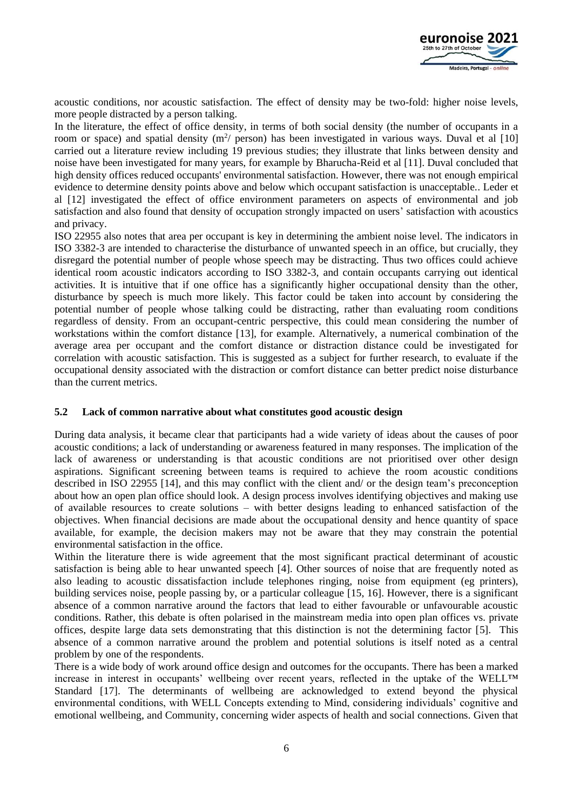

acoustic conditions, nor acoustic satisfaction. The effect of density may be two-fold: higher noise levels, more people distracted by a person talking.

In the literature, the effect of office density, in terms of both social density (the number of occupants in a room or space) and spatial density  $(m^2/$  person) has been investigated in various ways. Duval et al [10] carried out a literature review including 19 previous studies; they illustrate that links between density and noise have been investigated for many years, for example by Bharucha-Reid et al [11]. Duval concluded that high density offices reduced occupants' environmental satisfaction. However, there was not enough empirical evidence to determine density points above and below which occupant satisfaction is unacceptable.. Leder et al [12] investigated the effect of office environment parameters on aspects of environmental and job satisfaction and also found that density of occupation strongly impacted on users' satisfaction with acoustics and privacy.

ISO 22955 also notes that area per occupant is key in determining the ambient noise level. The indicators in ISO 3382-3 are intended to characterise the disturbance of unwanted speech in an office, but crucially, they disregard the potential number of people whose speech may be distracting. Thus two offices could achieve identical room acoustic indicators according to ISO 3382-3, and contain occupants carrying out identical activities. It is intuitive that if one office has a significantly higher occupational density than the other, disturbance by speech is much more likely. This factor could be taken into account by considering the potential number of people whose talking could be distracting, rather than evaluating room conditions regardless of density. From an occupant-centric perspective, this could mean considering the number of workstations within the comfort distance [13], for example. Alternatively, a numerical combination of the average area per occupant and the comfort distance or distraction distance could be investigated for correlation with acoustic satisfaction. This is suggested as a subject for further research, to evaluate if the occupational density associated with the distraction or comfort distance can better predict noise disturbance than the current metrics.

#### **5.2 Lack of common narrative about what constitutes good acoustic design**

During data analysis, it became clear that participants had a wide variety of ideas about the causes of poor acoustic conditions; a lack of understanding or awareness featured in many responses. The implication of the lack of awareness or understanding is that acoustic conditions are not prioritised over other design aspirations. Significant screening between teams is required to achieve the room acoustic conditions described in ISO 22955 [14], and this may conflict with the client and/ or the design team's preconception about how an open plan office should look. A design process involves identifying objectives and making use of available resources to create solutions – with better designs leading to enhanced satisfaction of the objectives. When financial decisions are made about the occupational density and hence quantity of space available, for example, the decision makers may not be aware that they may constrain the potential environmental satisfaction in the office.

Within the literature there is wide agreement that the most significant practical determinant of acoustic satisfaction is being able to hear unwanted speech [4]. Other sources of noise that are frequently noted as also leading to acoustic dissatisfaction include telephones ringing, noise from equipment (eg printers), building services noise, people passing by, or a particular colleague [15, 16]. However, there is a significant absence of a common narrative around the factors that lead to either favourable or unfavourable acoustic conditions. Rather, this debate is often polarised in the mainstream media into open plan offices vs. private offices, despite large data sets demonstrating that this distinction is not the determining factor [5]. This absence of a common narrative around the problem and potential solutions is itself noted as a central problem by one of the respondents.

There is a wide body of work around office design and outcomes for the occupants. There has been a marked increase in interest in occupants' wellbeing over recent years, reflected in the uptake of the WELL™ Standard [17]. The determinants of wellbeing are acknowledged to extend beyond the physical environmental conditions, with WELL Concepts extending to Mind, considering individuals' cognitive and emotional wellbeing, and Community, concerning wider aspects of health and social connections. Given that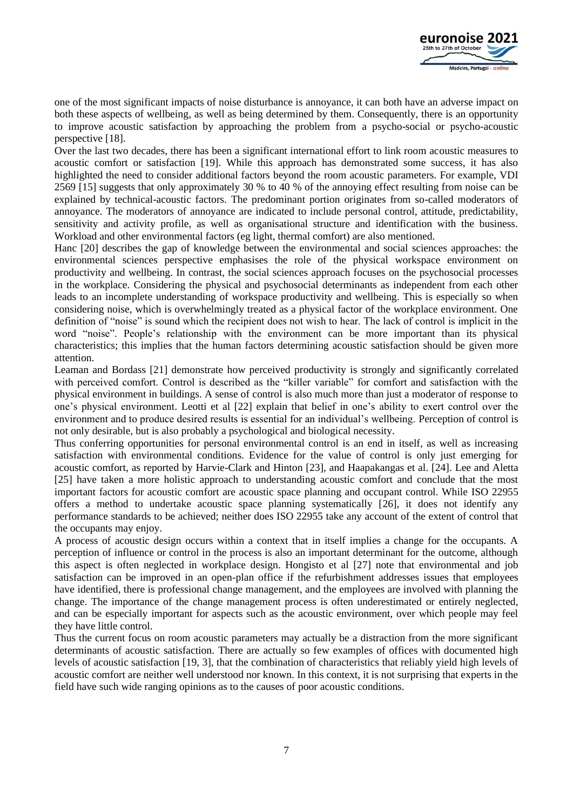

one of the most significant impacts of noise disturbance is annoyance, it can both have an adverse impact on both these aspects of wellbeing, as well as being determined by them. Consequently, there is an opportunity to improve acoustic satisfaction by approaching the problem from a psycho-social or psycho-acoustic perspective [18].

Over the last two decades, there has been a significant international effort to link room acoustic measures to acoustic comfort or satisfaction [19]. While this approach has demonstrated some success, it has also highlighted the need to consider additional factors beyond the room acoustic parameters. For example, VDI 2569 [15] suggests that only approximately 30 % to 40 % of the annoying effect resulting from noise can be explained by technical-acoustic factors. The predominant portion originates from so-called moderators of annoyance. The moderators of annoyance are indicated to include personal control, attitude, predictability, sensitivity and activity profile, as well as organisational structure and identification with the business. Workload and other environmental factors (eg light, thermal comfort) are also mentioned.

Hanc [20] describes the gap of knowledge between the environmental and social sciences approaches: the environmental sciences perspective emphasises the role of the physical workspace environment on productivity and wellbeing. In contrast, the social sciences approach focuses on the psychosocial processes in the workplace. Considering the physical and psychosocial determinants as independent from each other leads to an incomplete understanding of workspace productivity and wellbeing. This is especially so when considering noise, which is overwhelmingly treated as a physical factor of the workplace environment. One definition of "noise" is sound which the recipient does not wish to hear. The lack of control is implicit in the word "noise". People's relationship with the environment can be more important than its physical characteristics; this implies that the human factors determining acoustic satisfaction should be given more attention.

Leaman and Bordass [21] demonstrate how perceived productivity is strongly and significantly correlated with perceived comfort. Control is described as the "killer variable" for comfort and satisfaction with the physical environment in buildings. A sense of control is also much more than just a moderator of response to one's physical environment. Leotti et al [22] explain that belief in one's ability to exert control over the environment and to produce desired results is essential for an individual's wellbeing. Perception of control is not only desirable, but is also probably a psychological and biological necessity.

Thus conferring opportunities for personal environmental control is an end in itself, as well as increasing satisfaction with environmental conditions. Evidence for the value of control is only just emerging for acoustic comfort, as reported by Harvie-Clark and Hinton [23], and Haapakangas et al. [24]. Lee and Aletta [25] have taken a more holistic approach to understanding acoustic comfort and conclude that the most important factors for acoustic comfort are acoustic space planning and occupant control. While ISO 22955 offers a method to undertake acoustic space planning systematically [26], it does not identify any performance standards to be achieved; neither does ISO 22955 take any account of the extent of control that the occupants may enjoy.

A process of acoustic design occurs within a context that in itself implies a change for the occupants. A perception of influence or control in the process is also an important determinant for the outcome, although this aspect is often neglected in workplace design. Hongisto et al [27] note that environmental and job satisfaction can be improved in an open-plan office if the refurbishment addresses issues that employees have identified, there is professional change management, and the employees are involved with planning the change. The importance of the change management process is often underestimated or entirely neglected, and can be especially important for aspects such as the acoustic environment, over which people may feel they have little control.

Thus the current focus on room acoustic parameters may actually be a distraction from the more significant determinants of acoustic satisfaction. There are actually so few examples of offices with documented high levels of acoustic satisfaction [19, 3], that the combination of characteristics that reliably yield high levels of acoustic comfort are neither well understood nor known. In this context, it is not surprising that experts in the field have such wide ranging opinions as to the causes of poor acoustic conditions.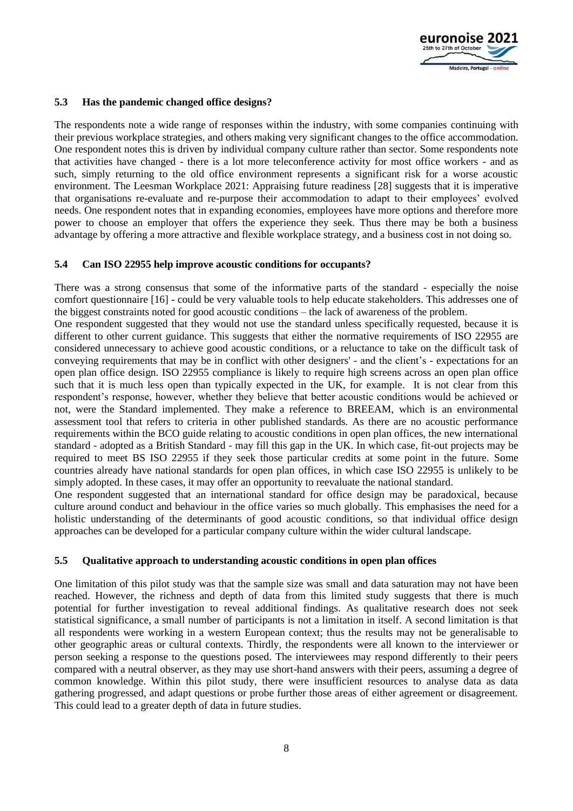

### **5.3 Has the pandemic changed office designs?**

The respondents note a wide range of responses within the industry, with some companies continuing with their previous workplace strategies, and others making very significant changes to the office accommodation. One respondent notes this is driven by individual company culture rather than sector. Some respondents note that activities have changed - there is a lot more teleconference activity for most office workers - and as such, simply returning to the old office environment represents a significant risk for a worse acoustic environment. The Leesman Workplace 2021: Appraising future readiness [28] suggests that it is imperative that organisations re-evaluate and re-purpose their accommodation to adapt to their employees' evolved needs. One respondent notes that in expanding economies, employees have more options and therefore more power to choose an employer that offers the experience they seek. Thus there may be both a business advantage by offering a more attractive and flexible workplace strategy, and a business cost in not doing so.

#### **5.4 Can ISO 22955 help improve acoustic conditions for occupants?**

There was a strong consensus that some of the informative parts of the standard - especially the noise comfort questionnaire [16] - could be very valuable tools to help educate stakeholders. This addresses one of the biggest constraints noted for good acoustic conditions – the lack of awareness of the problem.

One respondent suggested that they would not use the standard unless specifically requested, because it is different to other current guidance. This suggests that either the normative requirements of ISO 22955 are considered unnecessary to achieve good acoustic conditions, or a reluctance to take on the difficult task of conveying requirements that may be in conflict with other designers' - and the client's - expectations for an open plan office design. ISO 22955 compliance is likely to require high screens across an open plan office such that it is much less open than typically expected in the UK, for example. It is not clear from this respondent's response, however, whether they believe that better acoustic conditions would be achieved or not, were the Standard implemented. They make a reference to BREEAM, which is an environmental assessment tool that refers to criteria in other published standards. As there are no acoustic performance requirements within the BCO guide relating to acoustic conditions in open plan offices, the new international standard - adopted as a British Standard - may fill this gap in the UK. In which case, fit-out projects may be required to meet BS ISO 22955 if they seek those particular credits at some point in the future. Some countries already have national standards for open plan offices, in which case ISO 22955 is unlikely to be simply adopted. In these cases, it may offer an opportunity to reevaluate the national standard.

One respondent suggested that an international standard for office design may be paradoxical, because culture around conduct and behaviour in the office varies so much globally. This emphasises the need for a holistic understanding of the determinants of good acoustic conditions, so that individual office design approaches can be developed for a particular company culture within the wider cultural landscape.

#### **5.5 Qualitative approach to understanding acoustic conditions in open plan offices**

One limitation of this pilot study was that the sample size was small and data saturation may not have been reached. However, the richness and depth of data from this limited study suggests that there is much potential for further investigation to reveal additional findings. As qualitative research does not seek statistical significance, a small number of participants is not a limitation in itself. A second limitation is that all respondents were working in a western European context; thus the results may not be generalisable to other geographic areas or cultural contexts. Thirdly, the respondents were all known to the interviewer or person seeking a response to the questions posed. The interviewees may respond differently to their peers compared with a neutral observer, as they may use short-hand answers with their peers, assuming a degree of common knowledge. Within this pilot study, there were insufficient resources to analyse data as data gathering progressed, and adapt questions or probe further those areas of either agreement or disagreement. This could lead to a greater depth of data in future studies.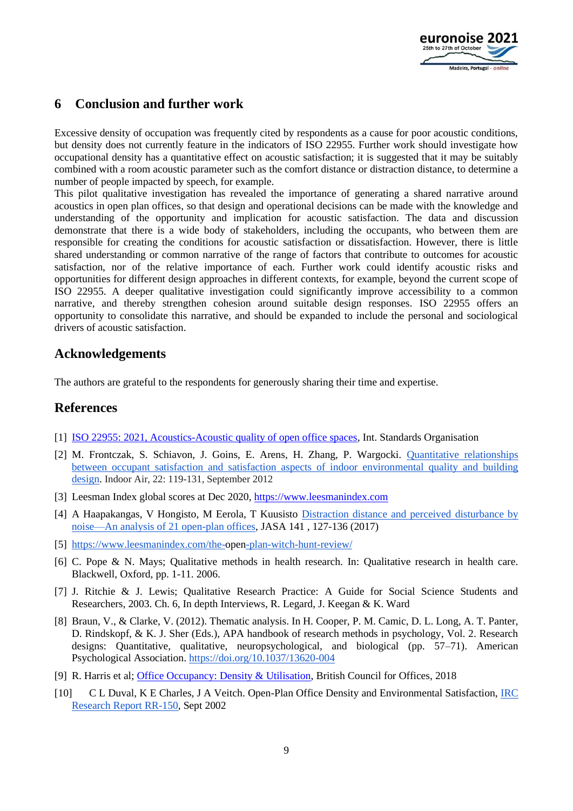

### **6 Conclusion and further work**

Excessive density of occupation was frequently cited by respondents as a cause for poor acoustic conditions, but density does not currently feature in the indicators of ISO 22955. Further work should investigate how occupational density has a quantitative effect on acoustic satisfaction; it is suggested that it may be suitably combined with a room acoustic parameter such as the comfort distance or distraction distance, to determine a number of people impacted by speech, for example.

This pilot qualitative investigation has revealed the importance of generating a shared narrative around acoustics in open plan offices, so that design and operational decisions can be made with the knowledge and understanding of the opportunity and implication for acoustic satisfaction. The data and discussion demonstrate that there is a wide body of stakeholders, including the occupants, who between them are responsible for creating the conditions for acoustic satisfaction or dissatisfaction. However, there is little shared understanding or common narrative of the range of factors that contribute to outcomes for acoustic satisfaction, nor of the relative importance of each. Further work could identify acoustic risks and opportunities for different design approaches in different contexts, for example, beyond the current scope of ISO 22955. A deeper qualitative investigation could significantly improve accessibility to a common narrative, and thereby strengthen cohesion around suitable design responses. ISO 22955 offers an opportunity to consolidate this narrative, and should be expanded to include the personal and sociological drivers of acoustic satisfaction.

### **Acknowledgements**

The authors are grateful to the respondents for generously sharing their time and expertise.

### **References**

- [1] ISO 22955: 2021, [Acoustics-Acoustic quality of open office spaces,](https://www.iso.org/standard/74237.html) Int. Standards Organisation
- [2] M. Frontczak, S. Schiavon, J. Goins, E. Arens, H. Zhang, P. Wargocki. [Quantitative relationships](https://doi.org/10.1111/j.1600-0668.2011.00745.x)  [between occupant satisfaction and satisfaction aspects of indoor environmental quality and building](https://doi.org/10.1111/j.1600-0668.2011.00745.x)  [design.](https://doi.org/10.1111/j.1600-0668.2011.00745.x) Indoor Air, 22: 119-131, September 2012
- [3] Leesman Index global scores at Dec 2020, [https://www.leesmanindex.com](https://www.leesmanindex.com/)
- [4] A Haapakangas, V Hongisto, M Eerola, T Kuusist[o](https://doi.org/10.1121/1.4973690) [Distraction distance and perceived](https://doi.org/10.1121/1.4973690) disturbance by [noise—An analysis of 21 open-plan offices,](https://doi.org/10.1121/1.4973690) JASA 141 , 127-136 (2017)
- [5] <https://www.leesmanindex.com/the-open-plan-witch-hunt-review/>
- [6] C. Pope & N. Mays; Qualitative methods in health research. In: Qualitative research in health care. Blackwell, Oxford, pp. 1-11. 2006.
- [7] J. Ritchie & J. Lewis; Qualitative Research Practice: A Guide for Social Science Students and Researchers, 2003. Ch. 6, In depth Interviews, R. Legard, J. Keegan & K. Ward
- [8] Braun, V., & Clarke, V. (2012). Thematic analysis. In H. Cooper, P. M. Camic, D. L. Long, A. T. Panter, D. Rindskopf, & K. J. Sher (Eds.), APA handbook of research methods in psychology, Vol. 2. Research designs: Quantitative, qualitative, neuropsychological, and biological (pp. 57–71). American Psychological Association. [https://doi.org/10.1037/13620-004](https://psycnet.apa.org/doi/10.1037/13620-004)
- [9] R. Harris et al; [Office Occupancy: Density & Utilisation,](https://www.bco.org.uk/Research/Publications/Office_Occupancy_Density_and_Utilisation.aspx) British Council for Offices, 2018
- [10] C L Duval, K E Charles, J A Veitch. Open-Plan Office Density and Environmental Satisfaction, [IRC](https://www.researchgate.net/profile/Jennifer-Veitch-2/publication/44088392_Open-Plan_Office_Density_and_Environmental_Satisfaction/links/0912f50742f1f1ec21000000/Open-Plan-Office-Density-and-Environmental-Satisfaction.pdf)  [Research Report RR-150,](https://www.researchgate.net/profile/Jennifer-Veitch-2/publication/44088392_Open-Plan_Office_Density_and_Environmental_Satisfaction/links/0912f50742f1f1ec21000000/Open-Plan-Office-Density-and-Environmental-Satisfaction.pdf) Sept 2002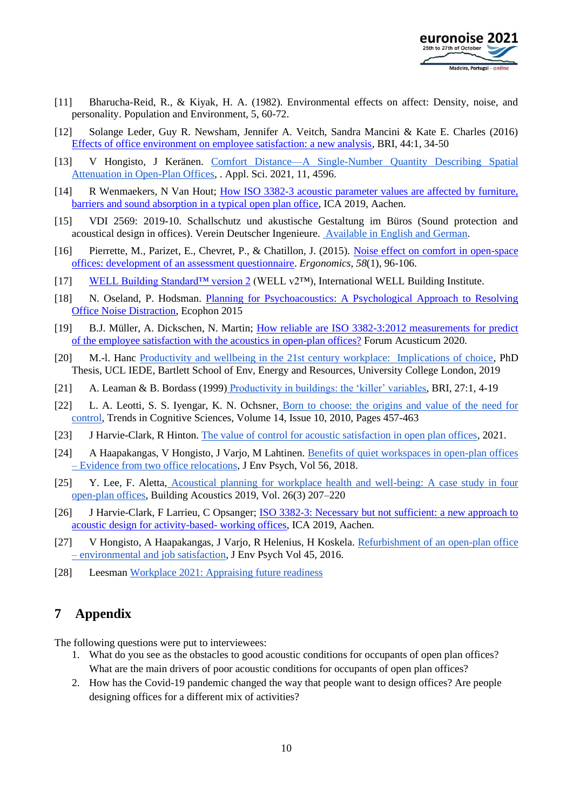

- [11] Bharucha-Reid, R., & Kiyak, H. A. (1982). Environmental effects on affect: Density, noise, and personality. Population and Environment, 5, 60-72.
- [12] Solange Leder, Guy R. Newsham, Jennifer A. Veitch, Sandra Mancini & Kate E. Charles (2016) [Effects of office environment on employee satisfaction: a new analysis,](https://doi.org/10.1080/09613218.2014.1003176) BRI, 44:1, 34-50
- [13] V Hongisto, J Keränen. [Comfort Distance—A Single-Number Quantity Describing Spatial](https://doi.org/10.3390/app11104596)  [Attenuation in Open-Plan Offices,](https://doi.org/10.3390/app11104596) . Appl. Sci. 2021, 11, 4596.
- [14] R Wenmaekers, N Van Hout; [How ISO 3382-3 acoustic parameter values are affected by furniture,](http://pub.dega-akustik.de/ICA2019/data/articles/000661.pdf)  [barriers and sound absorption in a typical open plan office,](http://pub.dega-akustik.de/ICA2019/data/articles/000661.pdf) ICA 2019, Aachen.
- [15] VDI 2569: 2019-10. Schallschutz und akustische Gestaltung im Büros (Sound protection and acoustical design in offices). Verein Deutscher Ingenieure. [Available in English and German.](https://www.beuth.de/de/technische-regel/vdi-2569/311102958)
- [16] Pierrette, M., Parizet, E., Chevret, P., & Chatillon, J. (2015). [Noise effect on comfort in open-space](https://doi.org/10.1080/00140139.2014.961972)  [offices: development of an assessment questionnaire.](https://doi.org/10.1080/00140139.2014.961972) *Ergonomics*, *58*(1), 96-106.
- [17] [WELL Building Standard™ version 2](https://v2.wellcertified.com/wellv2/en/overview) (WELL v2™), International WELL Building Institute.
- [18] N. Oseland, P. Hodsman. [Planning for Psychoacoustics: A Psychological Approach to Resolving](https://www.acousticbulletin.com/planning-for-psychoacoustics)  [Office Noise Distraction,](https://www.acousticbulletin.com/planning-for-psychoacoustics) Ecophon 2015
- [19] B.J. Müller, A. Dickschen, N. Martin; [How reliable are ISO 3382-3:2012 measurements for predict](https://hal.archives-ouvertes.fr/hal-03235224/document)  [of the employee satisfaction with the acoustics in open-plan offices?](https://hal.archives-ouvertes.fr/hal-03235224/document) Forum Acusticum 2020.
- [20] M.-l. Hanc [Productivity and wellbeing in the 21st century workplace: Implications of choice,](https://discovery.ucl.ac.uk/id/eprint/10073396/) PhD Thesis, UCL IEDE, Bartlett School of Env, Energy and Resources, University College London, 2019
- [21] A. Leaman & B. Bordass (1999) [Productivity in buildings: the 'killer' variables,](https://doi.org/10.1080/096132199369615) BRI, 27:1, 4-19
- [22] L. A. Leotti, S. S. Iyengar, K. N. Ochsner, Born to choose: the origins and value of the need for [control,](https://doi.org/10.1016/j.tics.2010.08.001) Trends in Cognitive Sciences, Volume 14, Issue 10, 2010, Pages 457-463
- [23] J Harvie-Clark, R Hinton. [The value of control for acoustic satisfaction in open plan offices,](https://www.apexacoustics.co.uk/the-value-of-control-for-acoustic-satisfaction-in-open-plan-offices/) 2021.
- [24] A Haapakangas, V Hongisto, J Varjo, M Lahtinen. [Benefits of quiet workspaces in open-plan offices](https://doi.org/10.1016/j.jenvp.2018.03.003)  – [Evidence from two office relocations,](https://doi.org/10.1016/j.jenvp.2018.03.003) J Env Psych, Vol 56, 2018.
- [25] Y. Lee, F. Aletta, [Acoustical planning for workplace health and well-being: A case study in four](https://doi.org/10.1177/1351010X19868546)  [open-plan offices,](https://doi.org/10.1177/1351010X19868546) Building Acoustics 2019, Vol. 26(3) 207–220
- [26] J Harvie-Clark, F Larrieu, C Opsanger; [ISO 3382-3: Necessary but not sufficient: a new approach to](http://pub.dega-akustik.de/ICA2019/data/articles/000840.pdf)  [acoustic design for activity-based-](http://pub.dega-akustik.de/ICA2019/data/articles/000840.pdf) working offices, ICA 2019, Aachen.
- [27] V Hongisto, A Haapakangas, J Varjo, R Helenius, H Koskela. [Refurbishment of an open-plan office](https://doi.org/10.1016/j.jenvp.2015.12.004)  – [environmental and job satisfaction,](https://doi.org/10.1016/j.jenvp.2015.12.004) J Env Psych Vol 45, 2016.
- [28] Leesman [Workplace 2021: Appraising future readiness](https://www.leesmanindex.com/media/Leesman-Workplace-2021-Report-1.pdf)

### **7 Appendix**

The following questions were put to interviewees:

- 1. What do you see as the obstacles to good acoustic conditions for occupants of open plan offices? What are the main drivers of poor acoustic conditions for occupants of open plan offices?
- 2. How has the Covid-19 pandemic changed the way that people want to design offices? Are people designing offices for a different mix of activities?